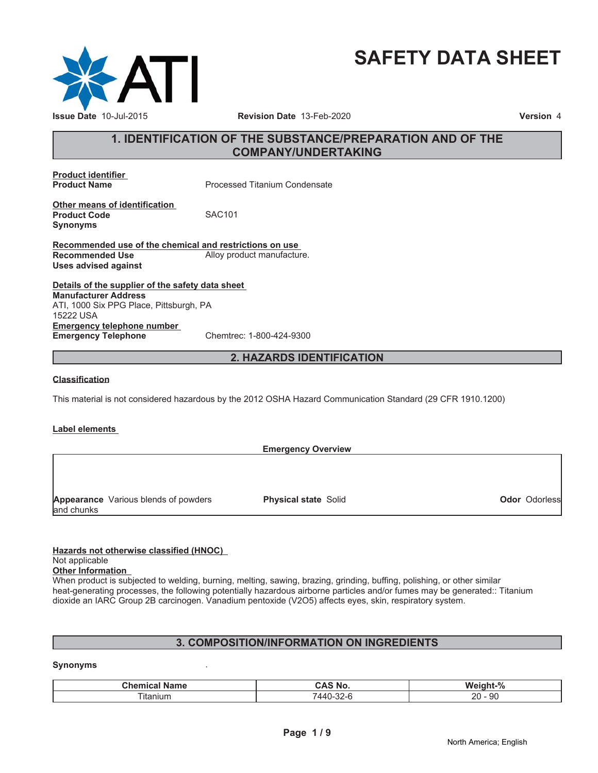

# **SAFETY DATA SHEET**

# **1. IDENTIFICATION OF THE SUBSTANCE/PREPARATION AND OF THE COMPANY/UNDERTAKING**

**Product identifier**

**Processed Titanium Condensate** 

**Other means of identification Product Code SAC101 Synonyms**

**Recommended use of the chemical and restrictions on use Recommended Use** Alloy product manufacture. **Uses advised against**

**Details of the supplier of the safety data sheet Emergency telephone number Emergency Telephone** Chemtrec: 1-800-424-9300 **Manufacturer Address** ATI, 1000 Six PPG Place, Pittsburgh, PA 15222 USA

**2. HAZARDS IDENTIFICATION**

#### **Classification**

This material is not considered hazardous by the 2012 OSHA Hazard Communication Standard (29 CFR 1910.1200)

#### **Label elements**

|            |                                             | <b>Emergency Overview</b>   |                      |
|------------|---------------------------------------------|-----------------------------|----------------------|
|            |                                             |                             |                      |
|            |                                             |                             |                      |
|            |                                             |                             |                      |
|            | <b>Appearance</b> Various blends of powders | <b>Physical state Solid</b> | <b>Odor</b> Odorless |
| and chunks |                                             |                             |                      |

**Hazards not otherwise classified (HNOC)**

# Not applicable

**Other Information**

When product is subjected to welding, burning, melting, sawing, brazing, grinding, buffing, polishing, or other similar heat-generating processes, the following potentially hazardous airborne particles and/or fumes may be generated:: Titanium dioxide an IARC Group 2B carcinogen. Vanadium pentoxide (V2O5) affects eyes, skin, respiratory system.

# **3. COMPOSITION/INFORMATION ON INGREDIENTS**

#### **Synonyms** .

| ----<br>ıame<br>. .           | -<br>.NG | $\Omega$<br>w.<br>$\sqrt{2}$  |
|-------------------------------|----------|-------------------------------|
| $-1$<br>ıta<br>$\sim$<br>າແມກ | $\mu$    | n<br>20<br>ັບ<br>$\sim$<br>__ |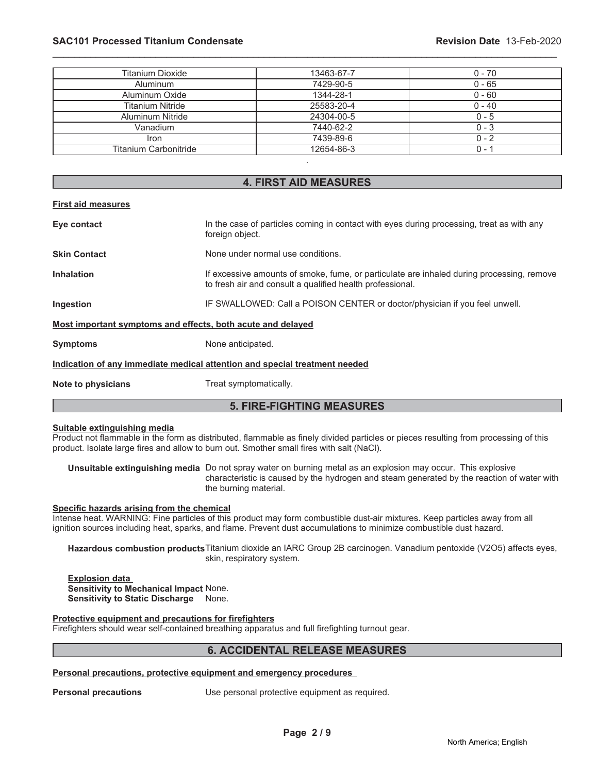# **SAC101 Processed Titanium Condensate Revision Date** 13-Feb-2020

| Titanium Dioxide             | 13463-67-7 | $0 - 70$ |
|------------------------------|------------|----------|
| <b>Aluminum</b>              | 7429-90-5  | $0 - 65$ |
| Aluminum Oxide               | 1344-28-1  | $0 - 60$ |
| <b>Titanium Nitride</b>      | 25583-20-4 | $0 - 40$ |
| <b>Aluminum Nitride</b>      | 24304-00-5 | $0 - 5$  |
| Vanadium                     | 7440-62-2  | $0 - 3$  |
| Iron                         | 7439-89-6  | $0 - 2$  |
| <b>Titanium Carbonitride</b> | 12654-86-3 | $0 -$    |
|                              |            |          |

\_\_\_\_\_\_\_\_\_\_\_\_\_\_\_\_\_\_\_\_\_\_\_\_\_\_\_\_\_\_\_\_\_\_\_\_\_\_\_\_\_\_\_\_\_\_\_\_\_\_\_\_\_\_\_\_\_\_\_\_\_\_\_\_\_\_\_\_\_\_\_\_\_\_\_\_\_\_\_\_\_\_\_\_\_\_\_\_\_\_\_\_\_

# **4. FIRST AID MEASURES**

#### **First aid measures**

| Eye contact                                                                | In the case of particles coming in contact with eyes during processing, treat as with any<br>foreign object.                                           |  |
|----------------------------------------------------------------------------|--------------------------------------------------------------------------------------------------------------------------------------------------------|--|
| <b>Skin Contact</b>                                                        | None under normal use conditions.                                                                                                                      |  |
| <b>Inhalation</b>                                                          | If excessive amounts of smoke, fume, or particulate are inhaled during processing, remove<br>to fresh air and consult a qualified health professional. |  |
| Ingestion                                                                  | IF SWALLOWED: Call a POISON CENTER or doctor/physician if you feel unwell.                                                                             |  |
| Most important symptoms and effects, both acute and delayed                |                                                                                                                                                        |  |
| <b>Symptoms</b>                                                            | None anticipated.                                                                                                                                      |  |
| Indication of any immediate medical attention and special treatment needed |                                                                                                                                                        |  |
| Note to physicians                                                         | Treat symptomatically.                                                                                                                                 |  |

# **5. FIRE-FIGHTING MEASURES**

# **Suitable extinguishing media**

Product not flammable in the form as distributed, flammable as finely divided particles or pieces resulting from processing of this product. Isolate large fires and allow to burn out. Smother small fires with salt (NaCl).

**Unsuitable extinguishing media** Do not spray water on burning metal as an explosion may occur. This explosive characteristic is caused by the hydrogen and steam generated by the reaction of water with the burning material.

#### **Specific hazards arising from the chemical**

Intense heat. WARNING: Fine particles of this product may form combustible dust-air mixtures. Keep particles away from all ignition sources including heat, sparks, and flame. Prevent dust accumulations to minimize combustible dust hazard.

**Hazardous combustion products**Titanium dioxide an IARC Group 2B carcinogen. Vanadium pentoxide (V2O5) affects eyes, skin, respiratory system.

**Explosion data Sensitivity to Mechanical Impact** None. **Sensitivity to Static Discharge** None.

#### **Protective equipment and precautions for firefighters**

Firefighters should wear self-contained breathing apparatus and full firefighting turnout gear.

# **6. ACCIDENTAL RELEASE MEASURES**

#### **Personal precautions, protective equipment and emergency procedures**

**Personal precautions** Use personal protective equipment as required.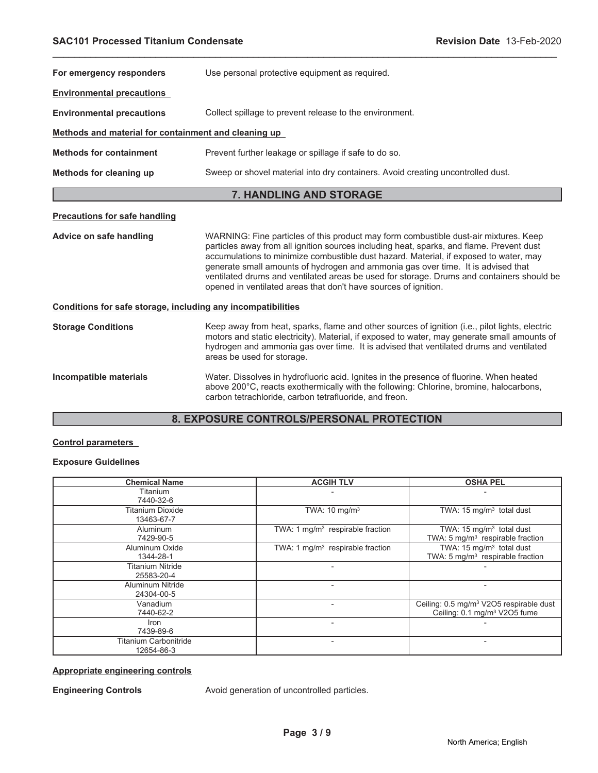| For emergency responders                                     | Use personal protective equipment as required.                                                                                                                                                                                                                                                                                                                                                                                                                                                                                |  |
|--------------------------------------------------------------|-------------------------------------------------------------------------------------------------------------------------------------------------------------------------------------------------------------------------------------------------------------------------------------------------------------------------------------------------------------------------------------------------------------------------------------------------------------------------------------------------------------------------------|--|
| <b>Environmental precautions</b>                             |                                                                                                                                                                                                                                                                                                                                                                                                                                                                                                                               |  |
| <b>Environmental precautions</b>                             | Collect spillage to prevent release to the environment.                                                                                                                                                                                                                                                                                                                                                                                                                                                                       |  |
| Methods and material for containment and cleaning up         |                                                                                                                                                                                                                                                                                                                                                                                                                                                                                                                               |  |
| <b>Methods for containment</b>                               | Prevent further leakage or spillage if safe to do so.                                                                                                                                                                                                                                                                                                                                                                                                                                                                         |  |
| Methods for cleaning up                                      | Sweep or shovel material into dry containers. Avoid creating uncontrolled dust.                                                                                                                                                                                                                                                                                                                                                                                                                                               |  |
|                                                              | 7. HANDLING AND STORAGE                                                                                                                                                                                                                                                                                                                                                                                                                                                                                                       |  |
| <b>Precautions for safe handling</b>                         |                                                                                                                                                                                                                                                                                                                                                                                                                                                                                                                               |  |
| Advice on safe handling                                      | WARNING: Fine particles of this product may form combustible dust-air mixtures. Keep<br>particles away from all ignition sources including heat, sparks, and flame. Prevent dust<br>accumulations to minimize combustible dust hazard. Material, if exposed to water, may<br>generate small amounts of hydrogen and ammonia gas over time. It is advised that<br>ventilated drums and ventilated areas be used for storage. Drums and containers should be<br>opened in ventilated areas that don't have sources of ignition. |  |
| Conditions for safe storage, including any incompatibilities |                                                                                                                                                                                                                                                                                                                                                                                                                                                                                                                               |  |
| <b>Storage Conditions</b>                                    | Keep away from heat, sparks, flame and other sources of ignition (i.e., pilot lights, electric<br>motors and static electricity). Material, if exposed to water, may generate small amounts of<br>hydrogen and ammonia gas over time. It is advised that ventilated drums and ventilated<br>areas be used for storage.                                                                                                                                                                                                        |  |
| Incompatible materials                                       | Water. Dissolves in hydrofluoric acid. Ignites in the presence of fluorine. When heated<br>above 200°C, reacts exothermically with the following: Chlorine, bromine, halocarbons,<br>carbon tetrachloride, carbon tetrafluoride, and freon.                                                                                                                                                                                                                                                                                   |  |
| <b>8. EXPOSURE CONTROLS/PERSONAL PROTECTION</b>              |                                                                                                                                                                                                                                                                                                                                                                                                                                                                                                                               |  |

\_\_\_\_\_\_\_\_\_\_\_\_\_\_\_\_\_\_\_\_\_\_\_\_\_\_\_\_\_\_\_\_\_\_\_\_\_\_\_\_\_\_\_\_\_\_\_\_\_\_\_\_\_\_\_\_\_\_\_\_\_\_\_\_\_\_\_\_\_\_\_\_\_\_\_\_\_\_\_\_\_\_\_\_\_\_\_\_\_\_\_\_\_

# **8. EXPOSURE CONTROLS/PERSONAL PROTECTION**

# **Control parameters**

# **Exposure Guidelines**

| <b>Chemical Name</b>  | <b>ACGIH TLV</b>                   | <b>OSHA PEL</b>                                     |
|-----------------------|------------------------------------|-----------------------------------------------------|
| Titanium              |                                    |                                                     |
| 7440-32-6             |                                    |                                                     |
| Titanium Dioxide      | TWA: 10 mg/m <sup>3</sup>          | TWA: $15 \text{ mg/m}^3$ total dust                 |
| 13463-67-7            |                                    |                                                     |
| Aluminum              | TWA: 1 $mq/m3$ respirable fraction | TWA: $15 \text{ mg/m}^3$ total dust                 |
| 7429-90-5             |                                    | TWA: 5 mg/m <sup>3</sup> respirable fraction        |
| Aluminum Oxide        | TWA: 1 $mg/m3$ respirable fraction | TWA: $15 \text{ mg/m}^3$ total dust                 |
| 1344-28-1             |                                    | TWA: 5 mg/m <sup>3</sup> respirable fraction        |
| Titanium Nitride      |                                    |                                                     |
| 25583-20-4            |                                    |                                                     |
| Aluminum Nitride      |                                    |                                                     |
| 24304-00-5            |                                    |                                                     |
| Vanadium              |                                    | Ceiling: 0.5 mg/m <sup>3</sup> V2O5 respirable dust |
| 7440-62-2             |                                    | Ceiling: 0.1 mg/m <sup>3</sup> V2O5 fume            |
| Iron                  |                                    |                                                     |
| 7439-89-6             |                                    |                                                     |
| Titanium Carbonitride |                                    |                                                     |
| 12654-86-3            |                                    |                                                     |

### **Appropriate engineering controls**

**Engineering Controls Avoid generation of uncontrolled particles.**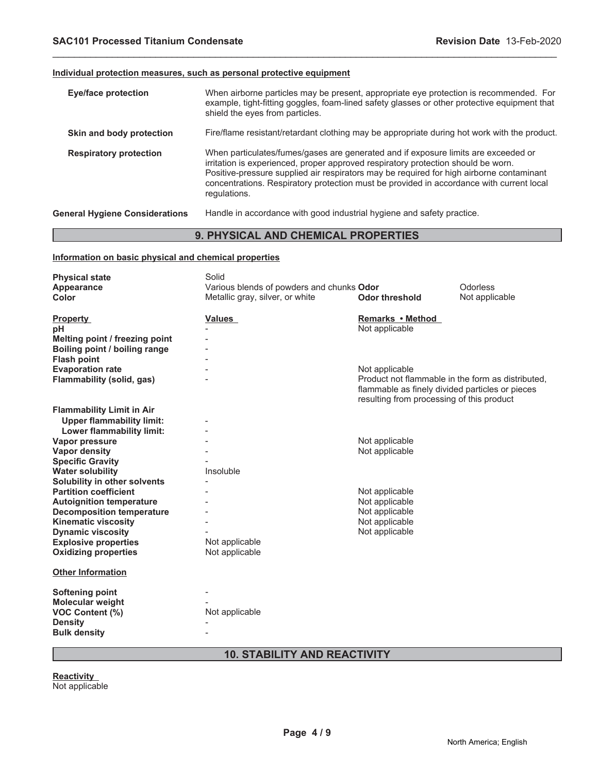### **Individual protection measures, such as personal protective equipment**

| <b>Eye/face protection</b>            | When airborne particles may be present, appropriate eye protection is recommended. For<br>example, tight-fitting goggles, foam-lined safety glasses or other protective equipment that<br>shield the eyes from particles.                                                                                                                                                       |
|---------------------------------------|---------------------------------------------------------------------------------------------------------------------------------------------------------------------------------------------------------------------------------------------------------------------------------------------------------------------------------------------------------------------------------|
| Skin and body protection              | Fire/flame resistant/retardant clothing may be appropriate during hot work with the product.                                                                                                                                                                                                                                                                                    |
| <b>Respiratory protection</b>         | When particulates/fumes/gases are generated and if exposure limits are exceeded or<br>irritation is experienced, proper approved respiratory protection should be worn.<br>Positive-pressure supplied air respirators may be required for high airborne contaminant<br>concentrations. Respiratory protection must be provided in accordance with current local<br>regulations. |
| <b>General Hygiene Considerations</b> | Handle in accordance with good industrial hygiene and safety practice.                                                                                                                                                                                                                                                                                                          |

\_\_\_\_\_\_\_\_\_\_\_\_\_\_\_\_\_\_\_\_\_\_\_\_\_\_\_\_\_\_\_\_\_\_\_\_\_\_\_\_\_\_\_\_\_\_\_\_\_\_\_\_\_\_\_\_\_\_\_\_\_\_\_\_\_\_\_\_\_\_\_\_\_\_\_\_\_\_\_\_\_\_\_\_\_\_\_\_\_\_\_\_\_

### **9. PHYSICAL AND CHEMICAL PROPERTIES**

### **Information on basic physical and chemical properties**

| <b>Physical state</b>            | Solid                                     |                                                   |                |
|----------------------------------|-------------------------------------------|---------------------------------------------------|----------------|
| Appearance                       | Various blends of powders and chunks Odor |                                                   | Odorless       |
| Color                            | Metallic gray, silver, or white           | <b>Odor threshold</b>                             | Not applicable |
|                                  |                                           |                                                   |                |
| <b>Property</b>                  | Values                                    | Remarks • Method                                  |                |
| рH                               |                                           | Not applicable                                    |                |
| Melting point / freezing point   |                                           |                                                   |                |
| Boiling point / boiling range    |                                           |                                                   |                |
| <b>Flash point</b>               |                                           |                                                   |                |
| <b>Evaporation rate</b>          |                                           | Not applicable                                    |                |
| Flammability (solid, gas)        |                                           | Product not flammable in the form as distributed, |                |
|                                  |                                           | flammable as finely divided particles or pieces   |                |
|                                  |                                           | resulting from processing of this product         |                |
| <b>Flammability Limit in Air</b> |                                           |                                                   |                |
| <b>Upper flammability limit:</b> |                                           |                                                   |                |
| Lower flammability limit:        |                                           |                                                   |                |
| Vapor pressure                   |                                           | Not applicable                                    |                |
| <b>Vapor density</b>             |                                           | Not applicable                                    |                |
| <b>Specific Gravity</b>          |                                           |                                                   |                |
| <b>Water solubility</b>          | Insoluble                                 |                                                   |                |
| Solubility in other solvents     |                                           |                                                   |                |
| <b>Partition coefficient</b>     |                                           | Not applicable                                    |                |
| <b>Autoignition temperature</b>  |                                           | Not applicable                                    |                |
| <b>Decomposition temperature</b> |                                           | Not applicable                                    |                |
| <b>Kinematic viscosity</b>       |                                           | Not applicable                                    |                |
| <b>Dynamic viscosity</b>         |                                           | Not applicable                                    |                |
| <b>Explosive properties</b>      | Not applicable                            |                                                   |                |
| <b>Oxidizing properties</b>      | Not applicable                            |                                                   |                |
| <b>Other Information</b>         |                                           |                                                   |                |
|                                  |                                           |                                                   |                |
| <b>Softening point</b>           |                                           |                                                   |                |
| Molecular weight                 |                                           |                                                   |                |
| VOC Content (%)                  | Not applicable                            |                                                   |                |
| <b>Density</b>                   |                                           |                                                   |                |
| <b>Bulk density</b>              |                                           |                                                   |                |
|                                  |                                           |                                                   |                |

# **10. STABILITY AND REACTIVITY**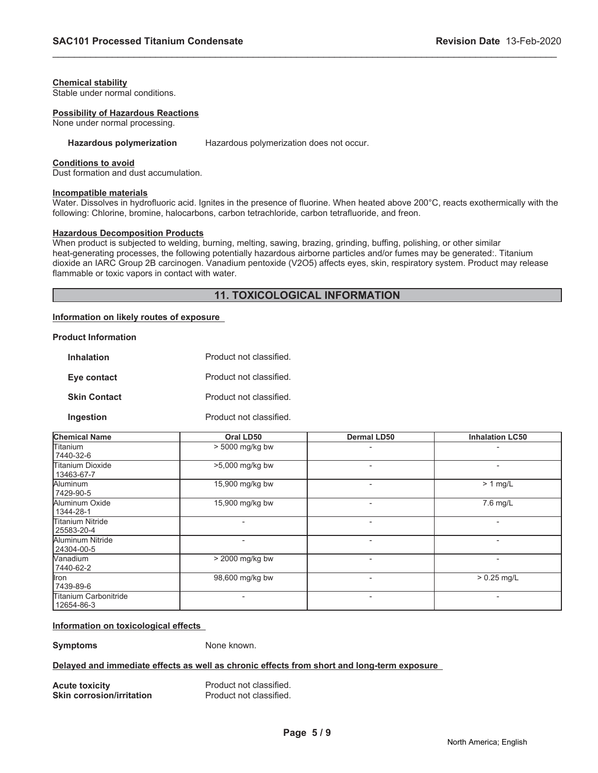#### **Chemical stability**

Stable under normal conditions.

#### **Possibility of Hazardous Reactions**

None under normal processing.

#### **Hazardous polymerization** Hazardous polymerization does not occur.

#### **Conditions to avoid**

Dust formation and dust accumulation.

#### **Incompatible materials**

Water. Dissolves in hydrofluoric acid. Ignites in the presence of fluorine. When heated above 200°C, reacts exothermically with the following: Chlorine, bromine, halocarbons, carbon tetrachloride, carbon tetrafluoride, and freon.

\_\_\_\_\_\_\_\_\_\_\_\_\_\_\_\_\_\_\_\_\_\_\_\_\_\_\_\_\_\_\_\_\_\_\_\_\_\_\_\_\_\_\_\_\_\_\_\_\_\_\_\_\_\_\_\_\_\_\_\_\_\_\_\_\_\_\_\_\_\_\_\_\_\_\_\_\_\_\_\_\_\_\_\_\_\_\_\_\_\_\_\_\_

### **Hazardous Decomposition Products**

When product is subjected to welding, burning, melting, sawing, brazing, grinding, buffing, polishing, or other similar heat-generating processes, the following potentially hazardous airborne particles and/or fumes may be generated:. Titanium dioxide an IARC Group 2B carcinogen. Vanadium pentoxide (V2O5) affects eyes, skin, respiratory system. Product may release flammable or toxic vapors in contact with water.

# **11. TOXICOLOGICAL INFORMATION**

# **Information on likely routes of exposure**

#### **Product Information**

| Inhalation          | Product not classified. |
|---------------------|-------------------------|
| Eye contact         | Product not classified. |
| <b>Skin Contact</b> | Product not classified. |
| Ingestion           | Product not classified. |

| <b>Chemical Name</b>                  | Oral LD50       | <b>Dermal LD50</b>       | <b>Inhalation LC50</b> |
|---------------------------------------|-----------------|--------------------------|------------------------|
| <b>Titanium</b><br>7440-32-6          | > 5000 mg/kg bw |                          |                        |
| <b>Titanium Dioxide</b><br>13463-67-7 | >5,000 mg/kg bw | $\overline{\phantom{0}}$ | ۰                      |
| Aluminum<br>7429-90-5                 | 15,900 mg/kg bw | $\overline{\phantom{0}}$ | $> 1$ mg/L             |
| Aluminum Oxide<br>1344-28-1           | 15,900 mg/kg bw |                          | 7.6 mg/L               |
| <b>Titanium Nitride</b><br>25583-20-4 |                 |                          |                        |
| Aluminum Nitride<br>24304-00-5        |                 |                          |                        |
| Wanadium<br>7440-62-2                 | > 2000 mg/kg bw |                          |                        |
| <b>Iron</b><br>7439-89-6              | 98,600 mg/kg bw |                          | $> 0.25$ mg/L          |
| lTitanium Carbonitride<br>12654-86-3  |                 |                          |                        |

#### **Information on toxicological effects**

**Symptoms** None known.

## **Delayed and immediate effects as well as chronic effects from short and long-term exposure**

| <b>Acute toxicity</b>            |  |
|----------------------------------|--|
| <b>Skin corrosion/irritation</b> |  |

**Product not classified. Product not classified.**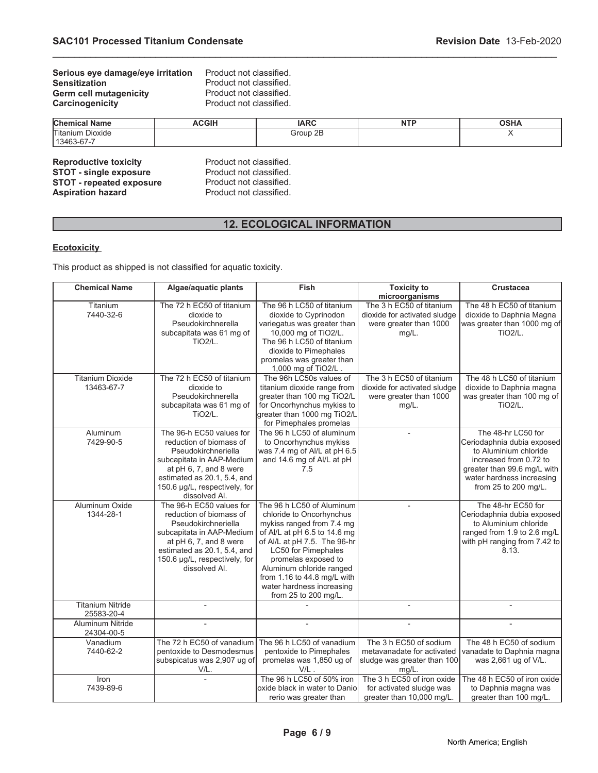| Serious eye damage/eye irritation | Product not classified. |
|-----------------------------------|-------------------------|
| <b>Sensitization</b>              | Product not classified. |
| <b>Germ cell mutagenicity</b>     | Product not classified. |
| Carcinogenicity                   | Product not classified. |

| <b>Chen</b><br>Name  | <b>CGIH</b> | IADC<br>יירו   | <b>NTF</b><br>. | $\sim$<br>∍חר |
|----------------------|-------------|----------------|-----------------|---------------|
| Titaniun.<br>Dioxide |             | Group 2B<br>ыı |                 |               |
| 13463-67-7           |             |                |                 |               |

\_\_\_\_\_\_\_\_\_\_\_\_\_\_\_\_\_\_\_\_\_\_\_\_\_\_\_\_\_\_\_\_\_\_\_\_\_\_\_\_\_\_\_\_\_\_\_\_\_\_\_\_\_\_\_\_\_\_\_\_\_\_\_\_\_\_\_\_\_\_\_\_\_\_\_\_\_\_\_\_\_\_\_\_\_\_\_\_\_\_\_\_\_

| <b>Reproductive toxicity</b>    |
|---------------------------------|
| <b>STOT - single exposure</b>   |
| <b>STOT - repeated exposure</b> |
| <b>Aspiration hazard</b>        |
|                                 |

Product not classified. Product not classified. Product not classified. Product not classified.

# **12. ECOLOGICAL INFORMATION**

# **Ecotoxicity**

This product as shipped is not classified for aquatic toxicity.

| <b>Chemical Name</b>                  | Algae/aquatic plants                                                                                                                                                                                               | <b>Fish</b>                                                                                                                                                                                                                                                                                                      | <b>Toxicity to</b><br>microorganisms                                                           | <b>Crustacea</b>                                                                                                                                                                        |
|---------------------------------------|--------------------------------------------------------------------------------------------------------------------------------------------------------------------------------------------------------------------|------------------------------------------------------------------------------------------------------------------------------------------------------------------------------------------------------------------------------------------------------------------------------------------------------------------|------------------------------------------------------------------------------------------------|-----------------------------------------------------------------------------------------------------------------------------------------------------------------------------------------|
| Titanium<br>7440-32-6                 | The 72 h EC50 of titanium<br>dioxide to<br>Pseudokirchnerella<br>subcapitata was 61 mg of<br><b>TiO2/L.</b>                                                                                                        | The 96 h LC50 of titanium<br>dioxide to Cyprinodon<br>variegatus was greater than<br>10,000 mg of TiO2/L.<br>The 96 h LC50 of titanium<br>dioxide to Pimephales<br>promelas was greater than<br>1,000 mg of TiO2/L.                                                                                              | The 3 h EC50 of titanium<br>dioxide for activated sludge<br>were greater than 1000<br>mg/L.    | The 48 h EC50 of titanium<br>dioxide to Daphnia Magna<br>was greater than 1000 mg of<br><b>TiO2/L.</b>                                                                                  |
| <b>Titanium Dioxide</b><br>13463-67-7 | The 72 h EC50 of titanium<br>dioxide to<br>Pseudokirchnerella<br>subcapitata was 61 mg of<br><b>TiO2/L.</b>                                                                                                        | The 96h LC50s values of<br>titanium dioxide range from<br>greater than 100 mg TiO2/L<br>for Oncorhynchus mykiss to<br>greater than 1000 mg TiO2/L<br>for Pimephales promelas                                                                                                                                     | The 3 h EC50 of titanium<br>dioxide for activated sludge<br>were greater than 1000<br>$mg/L$ . | The 48 h LC50 of titanium<br>dioxide to Daphnia magna<br>was greater than 100 mg of<br><b>TiO2/L.</b>                                                                                   |
| Aluminum<br>7429-90-5                 | The 96-h EC50 values for<br>reduction of biomass of<br>Pseudokirchneriella<br>subcapitata in AAP-Medium<br>at pH 6, 7, and 8 were<br>estimated as 20.1, 5.4, and<br>150.6 µg/L, respectively, for<br>dissolved Al. | The 96 h LC50 of aluminum<br>to Oncorhynchus mykiss<br>was 7.4 mg of Al/L at pH 6.5<br>and 14.6 mg of Al/L at pH<br>7.5                                                                                                                                                                                          | $\overline{a}$                                                                                 | The 48-hr LC50 for<br>Ceriodaphnia dubia exposed<br>to Aluminium chloride<br>increased from 0.72 to<br>greater than 99.6 mg/L with<br>water hardness increasing<br>from 25 to 200 mg/L. |
| Aluminum Oxide<br>1344-28-1           | The 96-h EC50 values for<br>reduction of biomass of<br>Pseudokirchneriella<br>subcapitata in AAP-Medium<br>at pH 6, 7, and 8 were<br>estimated as 20.1, 5.4, and<br>150.6 µg/L, respectively, for<br>dissolved Al. | The 96 h LC50 of Aluminum<br>chloride to Oncorhynchus<br>mykiss ranged from 7.4 mg<br>of Al/L at pH 6.5 to 14.6 mg<br>of Al/L at pH 7.5. The 96-hr<br>LC50 for Pimephales<br>promelas exposed to<br>Aluminum chloride ranged<br>from 1.16 to 44.8 mg/L with<br>water hardness increasing<br>from 25 to 200 mg/L. |                                                                                                | The 48-hr EC50 for<br>Ceriodaphnia dubia exposed<br>to Aluminium chloride<br>ranged from 1.9 to 2.6 mg/L<br>with pH ranging from 7.42 to<br>8.13.                                       |
| <b>Titanium Nitride</b><br>25583-20-4 |                                                                                                                                                                                                                    |                                                                                                                                                                                                                                                                                                                  |                                                                                                |                                                                                                                                                                                         |
| <b>Aluminum Nitride</b><br>24304-00-5 |                                                                                                                                                                                                                    |                                                                                                                                                                                                                                                                                                                  |                                                                                                |                                                                                                                                                                                         |
| Vanadium<br>7440-62-2                 | The 72 h EC50 of vanadium<br>pentoxide to Desmodesmus<br>subspicatus was 2,907 ug of<br>V/L                                                                                                                        | The 96 h LC50 of vanadium<br>pentoxide to Pimephales<br>promelas was 1,850 ug of<br>$V/L$ .                                                                                                                                                                                                                      | The 3 h EC50 of sodium<br>metavanadate for activated<br>sludge was greater than 100<br>mg/L.   | The 48 h EC50 of sodium<br>vanadate to Daphnia magna<br>was 2,661 ug of V/L.                                                                                                            |
| Iron<br>7439-89-6                     |                                                                                                                                                                                                                    | The 96 h LC50 of 50% iron<br>oxide black in water to Danio<br>rerio was greater than                                                                                                                                                                                                                             | The 3 h EC50 of iron oxide<br>for activated sludge was<br>greater than 10,000 mg/L.            | The 48 h EC50 of iron oxide<br>to Daphnia magna was<br>greater than 100 mg/L.                                                                                                           |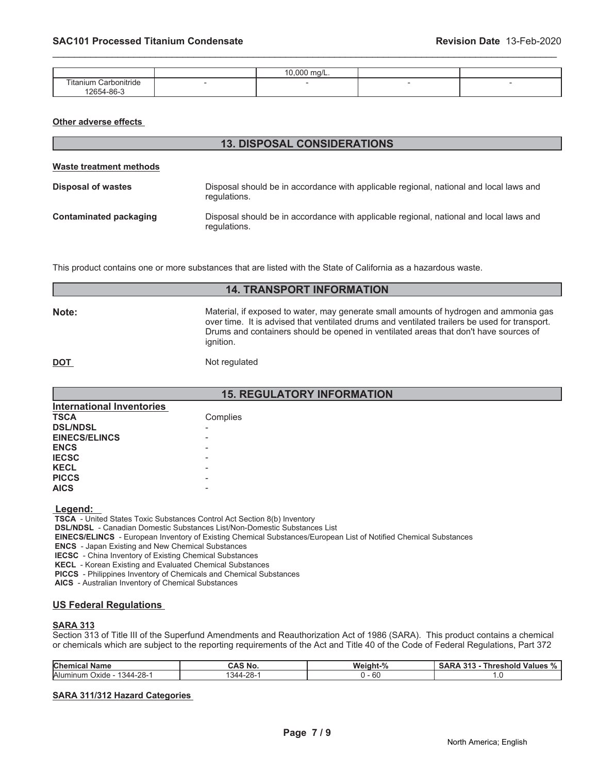|                                                                | 10.000<br>`ma/L. |  |
|----------------------------------------------------------------|------------------|--|
| $- - -$<br>$\cdots$<br>∟Carbonitride<br>Γitanium<br>12654-86-3 |                  |  |

**13. DISPOSAL CONSIDERATIONS**

\_\_\_\_\_\_\_\_\_\_\_\_\_\_\_\_\_\_\_\_\_\_\_\_\_\_\_\_\_\_\_\_\_\_\_\_\_\_\_\_\_\_\_\_\_\_\_\_\_\_\_\_\_\_\_\_\_\_\_\_\_\_\_\_\_\_\_\_\_\_\_\_\_\_\_\_\_\_\_\_\_\_\_\_\_\_\_\_\_\_\_\_\_

#### **Other adverse effects**

| Waste treatment methods |                                                                                                        |  |  |
|-------------------------|--------------------------------------------------------------------------------------------------------|--|--|
| Disposal of wastes      | Disposal should be in accordance with applicable regional, national and local laws and<br>regulations. |  |  |
| Contaminated packaging  | Disposal should be in accordance with applicable regional, national and local laws and<br>regulations. |  |  |

This product contains one or more substances that are listed with the State of California as a hazardous waste.

| <b>14. TRANSPORT INFORMATION</b> |                                                                                                                                                                                                                                                                                             |  |  |
|----------------------------------|---------------------------------------------------------------------------------------------------------------------------------------------------------------------------------------------------------------------------------------------------------------------------------------------|--|--|
| Note:                            | Material, if exposed to water, may generate small amounts of hydrogen and ammonia gas<br>over time. It is advised that ventilated drums and ventilated trailers be used for transport.<br>Drums and containers should be opened in ventilated areas that don't have sources of<br>ignition. |  |  |
| <b>DOT</b>                       | Not regulated                                                                                                                                                                                                                                                                               |  |  |

| <b>15. REGULATORY INFORMATION</b> |          |  |  |
|-----------------------------------|----------|--|--|
| <b>International Inventories</b>  |          |  |  |
| <b>TSCA</b>                       | Complies |  |  |
| <b>DSL/NDSL</b>                   |          |  |  |
| <b>EINECS/ELINCS</b>              |          |  |  |
| <b>ENCS</b>                       | -        |  |  |
| <b>IECSC</b>                      | -        |  |  |
| <b>KECL</b>                       |          |  |  |
| <b>PICCS</b>                      | -        |  |  |
| <b>AICS</b>                       | -        |  |  |

 **Legend:** 

 **TSCA** - United States Toxic Substances Control Act Section 8(b) Inventory

 **DSL/NDSL** - Canadian Domestic Substances List/Non-Domestic Substances List

 **EINECS/ELINCS** - European Inventory of Existing Chemical Substances/European List of Notified Chemical Substances

 **ENCS** - Japan Existing and New Chemical Substances

 **IECSC** - China Inventory of Existing Chemical Substances

 **KECL** - Korean Existing and Evaluated Chemical Substances

 **PICCS** - Philippines Inventory of Chemicals and Chemical Substances

 **AICS** - Australian Inventory of Chemical Substances

#### **US Federal Regulations**

#### **SARA 313**

Section 313 of Title III of the Superfund Amendments and Reauthorization Act of 1986 (SARA). This product contains a chemical or chemicals which are subject to the reporting requirements of the Act and Title 40 of the Code of Federal Regulations, Part 372

| Chemical<br>lame                          | <b>NO</b> | ainh<br>,,,  | $\mathbf{a}$<br>'alues<br>nres<br>- 70 |
|-------------------------------------------|-----------|--------------|----------------------------------------|
| lAlur<br>-28-<br>Jxide i<br>mınun<br>-גבא |           | c<br>ົ<br>υu | .                                      |

#### **SARA 311/312 Hazard Categories**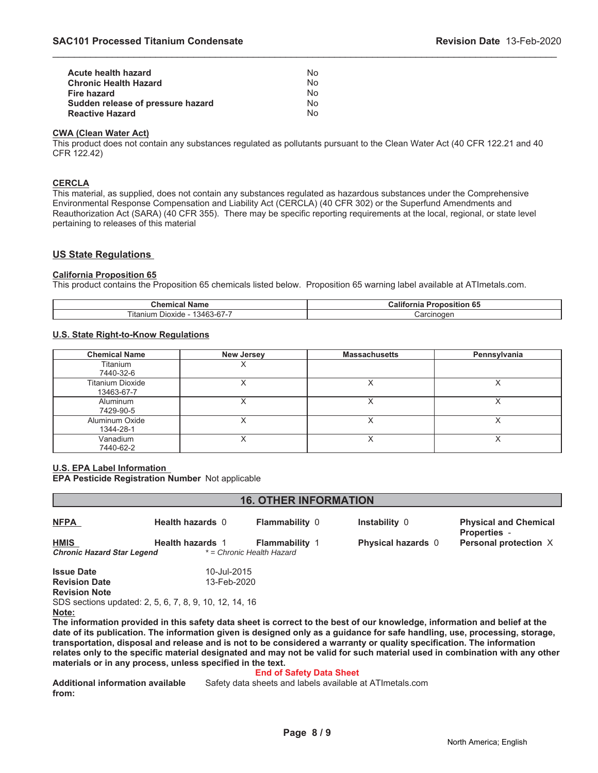| Acute health hazard               | Nο |
|-----------------------------------|----|
| <b>Chronic Health Hazard</b>      | Nο |
| Fire hazard                       | Nο |
| Sudden release of pressure hazard | Nο |
| <b>Reactive Hazard</b>            | N٥ |

#### **CWA (Clean Water Act)**

This product does not contain any substances regulated as pollutants pursuant to the Clean Water Act (40 CFR 122.21 and 40 CFR 122.42)

\_\_\_\_\_\_\_\_\_\_\_\_\_\_\_\_\_\_\_\_\_\_\_\_\_\_\_\_\_\_\_\_\_\_\_\_\_\_\_\_\_\_\_\_\_\_\_\_\_\_\_\_\_\_\_\_\_\_\_\_\_\_\_\_\_\_\_\_\_\_\_\_\_\_\_\_\_\_\_\_\_\_\_\_\_\_\_\_\_\_\_\_\_

#### **CERCLA**

This material, as supplied, does not contain any substances regulated as hazardous substances under the Comprehensive Environmental Response Compensation and Liability Act (CERCLA) (40 CFR 302) or the Superfund Amendments and Reauthorization Act (SARA) (40 CFR 355). There may be specific reporting requirements at the local, regional, or state level pertaining to releases of this material

### **US State Regulations**

#### **California Proposition 65**

This product contains the Proposition 65 chemicals listed below. Proposition 65 warning label available at ATImetals.com.

| Chemical<br>Name                                                             | $\cdots$<br>$\sim$<br>Califor.<br>. .<br>. ODOSITION 65<br>ша |  |
|------------------------------------------------------------------------------|---------------------------------------------------------------|--|
| 077<br>$- \cdot \cdot$<br>3463<br>itani<br>Dioxide<br>$\sim$<br>/0-01-7<br>. | :arcinogen                                                    |  |

#### **U.S. State Right-to-Know Regulations**

| <b>Chemical Name</b>                  | <b>New Jersey</b> | <b>Massachusetts</b> | Pennsylvania |
|---------------------------------------|-------------------|----------------------|--------------|
| Titanium<br>7440-32-6                 |                   |                      |              |
| <b>Titanium Dioxide</b><br>13463-67-7 |                   |                      |              |
| Aluminum<br>7429-90-5                 |                   |                      |              |
| Aluminum Oxide<br>1344-28-1           |                   |                      |              |
| Vanadium<br>7440-62-2                 |                   |                      |              |

#### **U.S. EPA Label Information**

**EPA Pesticide Registration Number** Not applicable

| <b>16. OTHER INFORMATION</b>      |                                                            |                           |                                                                                                                            |                                                     |
|-----------------------------------|------------------------------------------------------------|---------------------------|----------------------------------------------------------------------------------------------------------------------------|-----------------------------------------------------|
| <b>NFPA</b>                       | Health hazards 0                                           | <b>Flammability 0</b>     | Instability 0                                                                                                              | <b>Physical and Chemical</b><br><b>Properties -</b> |
| <b>HMIS</b>                       | <b>Health hazards 1</b>                                    | <b>Flammability 1</b>     | <b>Physical hazards</b> 0                                                                                                  | Personal protection X                               |
| <b>Chronic Hazard Star Legend</b> |                                                            | * = Chronic Health Hazard |                                                                                                                            |                                                     |
| <b>Issue Date</b>                 | 10-Jul-2015                                                |                           |                                                                                                                            |                                                     |
| <b>Revision Date</b>              | 13-Feb-2020                                                |                           |                                                                                                                            |                                                     |
| <b>Revision Note</b>              |                                                            |                           |                                                                                                                            |                                                     |
|                                   | SDS sections updated: 2, 5, 6, 7, 8, 9, 10, 12, 14, 16     |                           |                                                                                                                            |                                                     |
| Note:                             |                                                            |                           |                                                                                                                            |                                                     |
|                                   |                                                            |                           | The information provided in this safety data sheet is correct to the best of our knowledge, information and belief at the  |                                                     |
|                                   |                                                            |                           | date of its publication. The information given is designed only as a guidance for safe handling, use, processing, storage, |                                                     |
|                                   |                                                            |                           | transportation, disposal and release and is not to be considered a warranty or quality specification. The information      |                                                     |
|                                   | materials or in any process, unless specified in the text. |                           | relates only to the specific material designated and may not be valid for such material used in combination with any other |                                                     |

# **End of Safety Data Sheet**

**Additional information available from:** Safety data sheets and labels available at ATImetals.com